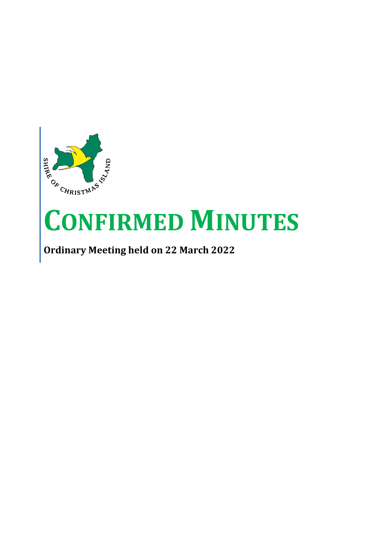

# **CONFIRMED MINUTES**

**Ordinary Meeting held on 22 March 2022**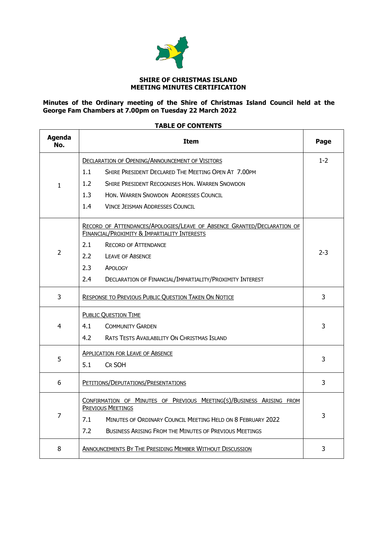

### **SHIRE OF CHRISTMAS ISLAND MEETING MINUTES CERTIFICATION**

**Minutes of the Ordinary meeting of the Shire of Christmas Island Council held at the George Fam Chambers at 7.00pm on Tuesday 22 March 2022** 

### **TABLE OF CONTENTS**

| <b>Agenda</b><br>No. | <b>Item</b>                                                                                                             |         |  |  |
|----------------------|-------------------------------------------------------------------------------------------------------------------------|---------|--|--|
|                      | <b>DECLARATION OF OPENING/ANNOUNCEMENT OF VISITORS</b>                                                                  | $1 - 2$ |  |  |
|                      | 1.1<br>SHIRE PRESIDENT DECLARED THE MEETING OPEN AT 7.00PM                                                              |         |  |  |
| $\mathbf{1}$         | 1.2<br><b>SHIRE PRESIDENT RECOGNISES HON. WARREN SNOWDON</b>                                                            |         |  |  |
|                      | 1.3<br>HON, WARREN SNOWDON ADDRESSES COUNCIL                                                                            |         |  |  |
|                      | 1.4<br>VINCE JEISMAN ADDRESSES COUNCIL                                                                                  |         |  |  |
|                      | RECORD OF ATTENDANCES/APOLOGIES/LEAVE OF ABSENCE GRANTED/DECLARATION OF<br>FINANCIAL/PROXIMITY & IMPARTIALITY INTERESTS |         |  |  |
|                      | 2.1<br><b>RECORD OF ATTENDANCE</b>                                                                                      |         |  |  |
| $\overline{2}$       | 2.2<br><b>LEAVE OF ABSENCE</b>                                                                                          | $2 - 3$ |  |  |
|                      | 2.3<br>APOLOGY                                                                                                          |         |  |  |
|                      | 2.4<br>DECLARATION OF FINANCIAL/IMPARTIALITY/PROXIMITY INTEREST                                                         |         |  |  |
| 3                    | <b>RESPONSE TO PREVIOUS PUBLIC QUESTION TAKEN ON NOTICE</b>                                                             | 3       |  |  |
|                      | <b>PUBLIC QUESTION TIME</b>                                                                                             |         |  |  |
| 4                    | 4.1<br><b>COMMUNITY GARDEN</b>                                                                                          | 3       |  |  |
|                      | 4.2<br>RATS TESTS AVAILABILITY ON CHRISTMAS ISLAND                                                                      |         |  |  |
|                      | <b>APPLICATION FOR LEAVE OF ABSENCE</b>                                                                                 |         |  |  |
| 5                    | 5.1<br>CR SOH                                                                                                           | 3       |  |  |
| 6                    | PETITIONS/DEPUTATIONS/PRESENTATIONS                                                                                     | 3       |  |  |
|                      | CONFIRMATION OF MINUTES OF PREVIOUS MEETING(S)/BUSINESS ARISING FROM<br><b>PREVIOUS MEETINGS</b>                        |         |  |  |
| 7                    | 7.1<br>MINUTES OF ORDINARY COUNCIL MEETING HELD ON 8 FEBRUARY 2022                                                      | 3       |  |  |
|                      | 7.2<br><b>BUSINESS ARISING FROM THE MINUTES OF PREVIOUS MEETINGS</b>                                                    |         |  |  |
| 8                    | ANNOUNCEMENTS BY THE PRESIDING MEMBER WITHOUT DISCUSSION                                                                | 3       |  |  |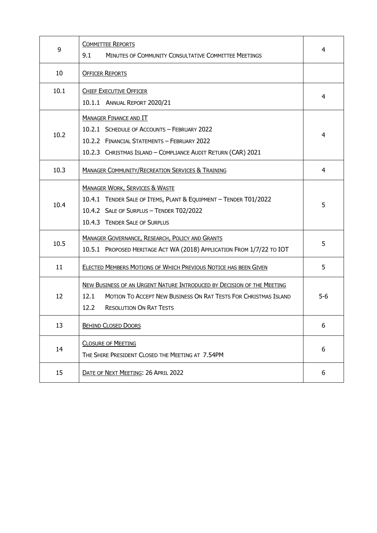| 9    | <b>COMMITTEE REPORTS</b><br>9.1<br>MINUTES OF COMMUNITY CONSULTATIVE COMMITTEE MEETINGS                                                                                                     | 4     |
|------|---------------------------------------------------------------------------------------------------------------------------------------------------------------------------------------------|-------|
| 10   | <b>OFFICER REPORTS</b>                                                                                                                                                                      |       |
| 10.1 | <b>CHIEF EXECUTIVE OFFICER</b><br>10.1.1 ANNUAL REPORT 2020/21                                                                                                                              | 4     |
| 10.2 | <b>MANAGER FINANCE AND IT</b><br>10.2.1 SCHEDULE OF ACCOUNTS - FEBRUARY 2022<br>10.2.2 FINANCIAL STATEMENTS - FEBRUARY 2022<br>10.2.3 CHRISTMAS ISLAND - COMPLIANCE AUDIT RETURN (CAR) 2021 | 4     |
| 10.3 | <b>MANAGER COMMUNITY/RECREATION SERVICES &amp; TRAINING</b>                                                                                                                                 | 4     |
| 10.4 | <b>MANAGER WORK, SERVICES &amp; WASTE</b><br>10.4.1 TENDER SALE OF ITEMS, PLANT & EQUIPMENT - TENDER T01/2022<br>10.4.2 SALE OF SURPLUS - TENDER T02/2022<br>10.4.3 TENDER SALE OF SURPLUS  | 5     |
| 10.5 | <b>MANAGER GOVERNANCE, RESEARCH, POLICY AND GRANTS</b><br>10.5.1 PROPOSED HERITAGE ACT WA (2018) APPLICATION FROM 1/7/22 TO IOT                                                             | 5     |
| 11   | ELECTED MEMBERS MOTIONS OF WHICH PREVIOUS NOTICE HAS BEEN GIVEN                                                                                                                             | 5     |
| 12   | NEW BUSINESS OF AN URGENT NATURE INTRODUCED BY DECISION OF THE MEETING<br>12.1<br>MOTION TO ACCEPT NEW BUSINESS ON RAT TESTS FOR CHRISTMAS ISLAND<br>12.2<br><b>RESOLUTION ON RAT TESTS</b> | $5-6$ |
| 13   | <b>BEHIND CLOSED DOORS</b>                                                                                                                                                                  | 6     |
| 14   | <b>CLOSURE OF MEETING</b><br>THE SHIRE PRESIDENT CLOSED THE MEETING AT 7.54PM                                                                                                               | 6     |
| 15   | DATE OF NEXT MEETING: 26 APRIL 2022                                                                                                                                                         | 6     |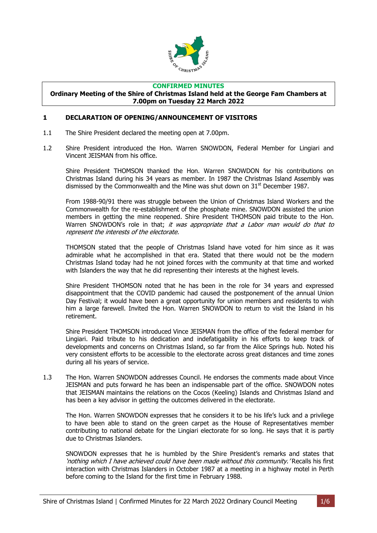

### **CONFIRMED MINUTES**

#### **Ordinary Meeting of the Shire of Christmas Island held at the George Fam Chambers at 7.00pm on Tuesday 22 March 2022**

### <span id="page-3-0"></span>**1 DECLARATION OF OPENING/ANNOUNCEMENT OF VISITORS**

- 1.1 The Shire President declared the meeting open at 7.00pm.
- 1.2 Shire President introduced the Hon. Warren SNOWDON, Federal Member for Lingiari and Vincent JEISMAN from his office.

Shire President THOMSON thanked the Hon. Warren SNOWDON for his contributions on Christmas Island during his 34 years as member. In 1987 the Christmas Island Assembly was dismissed by the Commonwealth and the Mine was shut down on  $31<sup>st</sup>$  December 1987.

From 1988-90/91 there was struggle between the Union of Christmas Island Workers and the Commonwealth for the re-establishment of the phosphate mine. SNOWDON assisted the union members in getting the mine reopened. Shire President THOMSON paid tribute to the Hon. Warren SNOWDON's role in that; it was appropriate that a Labor man would do that to represent the interests of the electorate.

THOMSON stated that the people of Christmas Island have voted for him since as it was admirable what he accomplished in that era. Stated that there would not be the modern Christmas Island today had he not joined forces with the community at that time and worked with Islanders the way that he did representing their interests at the highest levels.

Shire President THOMSON noted that he has been in the role for 34 years and expressed disappointment that the COVID pandemic had caused the postponement of the annual Union Day Festival; it would have been a great opportunity for union members and residents to wish him a large farewell. Invited the Hon. Warren SNOWDON to return to visit the Island in his retirement.

Shire President THOMSON introduced Vince JEISMAN from the office of the federal member for Lingiari. Paid tribute to his dedication and indefatigability in his efforts to keep track of developments and concerns on Christmas Island, so far from the Alice Springs hub. Noted his very consistent efforts to be accessible to the electorate across great distances and time zones during all his years of service.

1.3 The Hon. Warren SNOWDON addresses Council. He endorses the comments made about Vince JEISMAN and puts forward he has been an indispensable part of the office. SNOWDON notes that JEISMAN maintains the relations on the Cocos (Keeling) Islands and Christmas Island and has been a key advisor in getting the outcomes delivered in the electorate.

The Hon. Warren SNOWDON expresses that he considers it to be his life's luck and a privilege to have been able to stand on the green carpet as the House of Representatives member contributing to national debate for the Lingiari electorate for so long. He says that it is partly due to Christmas Islanders.

SNOWDON expresses that he is humbled by the Shire President's remarks and states that 'nothing which I have achieved could have been made without this community.' Recalls his first interaction with Christmas Islanders in October 1987 at a meeting in a highway motel in Perth before coming to the Island for the first time in February 1988.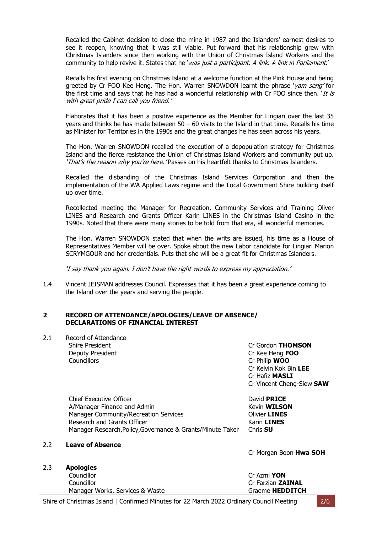Recalled the Cabinet decision to close the mine in 1987 and the Islanders' earnest desires to see it reopen, knowing that it was still viable. Put forward that his relationship grew with Christmas Islanders since then working with the Union of Christmas Island Workers and the community to help revive it. States that he 'was just a participant. A link. A link in Parliament.'

Recalls his first evening on Christmas Island at a welcome function at the Pink House and being greeted by Cr FOO Kee Heng. The Hon. Warren SNOWDON learnt the phrase 'yam seng' for the first time and says that he has had a wonderful relationship with Cr FOO since then. *It is* with great pride I can call you friend.'

Elaborates that it has been a positive experience as the Member for Lingiari over the last 35 years and thinks he has made between  $50 - 60$  visits to the Island in that time. Recalls his time as Minister for Territories in the 1990s and the great changes he has seen across his years.

The Hon. Warren SNOWDON recalled the execution of a depopulation strategy for Christmas Island and the fierce resistance the Union of Christmas Island Workers and community put up. 'That's the reason why you're here. 'Passes on his heartfelt thanks to Christmas Islanders.

Recalled the disbanding of the Christmas Island Services Corporation and then the implementation of the WA Applied Laws regime and the Local Government Shire building itself up over time.

Recollected meeting the Manager for Recreation, Community Services and Training Oliver LINES and Research and Grants Officer Karin LINES in the Christmas Island Casino in the 1990s. Noted that there were many stories to be told from that era, all wonderful memories.

The Hon. Warren SNOWDON stated that when the writs are issued, his time as a House of Representatives Member will be over. Spoke about the new Labor candidate for Lingiari Marion SCRYMGOUR and her credentials. Puts that she will be a great fit for Christmas Islanders.

'I say thank you again. I don't have the right words to express my appreciation.'

1.4 Vincent JEISMAN addresses Council. Expresses that it has been a great experience coming to the Island over the years and serving the people.

### <span id="page-4-0"></span>**2 RECORD OF ATTENDANCE/APOLOGIES/LEAVE OF ABSENCE/ DECLARATIONS OF FINANCIAL INTEREST**

2.1 Record of Attendance Shire President **Criminal Criminal Criminal Criminal Criminal Criminal Criminal Criminal Criminal Criminal Criminal Order Deputy President Critical Critical Critical Critical Critical Critical Critical Critical Critical Critical Critical Critical Critical Critical Critical Critical Critical Critical Critical Critical Critical Critical Critic** Councillors Cr Philip **WOO**

Cr Kelvin Kok Bin **LEE** Cr Hafiz **MASLI** Cr Vincent Cheng-Siew **SAW**

Chief Executive Officer David **PRICE** A/Manager Finance and Admin **Keyin WILSON** Manager Community/Recreation Services **Community/Recreation Services** Research and Grants Officer **Karin LINES** Karin LINES Manager Research,Policy,Governance & Grants/Minute Taker Chris **SU**

### 2.2 **Leave of Absence**

2.3 **Apologies**

Councillor Cr Azmi **YON** Councillor Cr Farzian **ZAINAL** Manager Works, Services & Waste Graeme **HEDDITCH** 

Cr Morgan Boon **Hwa SOH**

| J AZIII I VII            |  |  |
|--------------------------|--|--|
| ir Farzian <b>ZAINAL</b> |  |  |
| iraeme HEDDITCH          |  |  |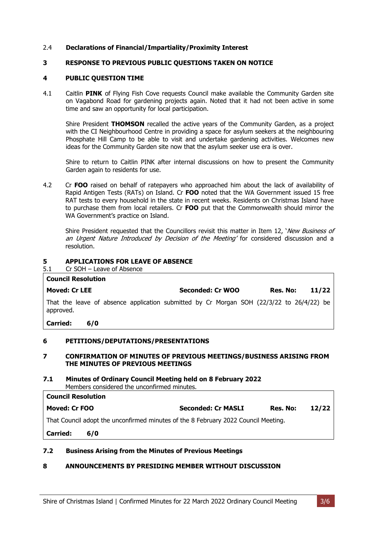### 2.4 **Declarations of Financial/Impartiality/Proximity Interest**

### <span id="page-5-0"></span>**3 RESPONSE TO PREVIOUS PUBLIC QUESTIONS TAKEN ON NOTICE**

### <span id="page-5-1"></span>**4 PUBLIC QUESTION TIME**

4.1 Caitlin **PINK** of Flying Fish Cove requests Council make available the Community Garden site on Vagabond Road for gardening projects again. Noted that it had not been active in some time and saw an opportunity for local participation.

Shire President **THOMSON** recalled the active years of the Community Garden, as a project with the CI Neighbourhood Centre in providing a space for asylum seekers at the neighbouring Phosphate Hill Camp to be able to visit and undertake gardening activities. Welcomes new ideas for the Community Garden site now that the asylum seeker use era is over.

Shire to return to Caitlin PINK after internal discussions on how to present the Community Garden again to residents for use.

4.2 Cr **FOO** raised on behalf of ratepayers who approached him about the lack of availability of Rapid Antigen Tests (RATs) on Island. Cr **FOO** noted that the WA Government issued 15 free RAT tests to every household in the state in recent weeks. Residents on Christmas Island have to purchase them from local retailers. Cr **FOO** put that the Commonwealth should mirror the WA Government's practice on Island.

Shire President requested that the Councillors revisit this matter in Item 12, 'New Business of an Urgent Nature Introduced by Decision of the Meeting' for considered discussion and a resolution.

### <span id="page-5-2"></span>**5 APPLICATIONS FOR LEAVE OF ABSENCE**

5.1 Cr SOH – Leave of Absence

### **Council Resolution Moved: Cr LEE Seconded: Cr WOO Res. No: 11/22** That the leave of absence application submitted by Cr Morgan SOH (22/3/22 to 26/4/22) be approved.

**Carried: 6/0**

### <span id="page-5-3"></span>**6 PETITIONS/DEPUTATIONS/PRESENTATIONS**

### <span id="page-5-4"></span>**7 CONFIRMATION OF MINUTES OF PREVIOUS MEETINGS/BUSINESS ARISING FROM THE MINUTES OF PREVIOUS MEETINGS**

#### **7.1 Minutes of Ordinary Council Meeting held on 8 February 2022** Members considered the unconfirmed minutes.

**Council Resolution Moved: Cr FOO Seconded: Cr MASLI Res. No: 12/22** That Council adopt the unconfirmed minutes of the 8 February 2022 Council Meeting. **Carried: 6/0**

### **7.2 Business Arising from the Minutes of Previous Meetings**

### <span id="page-5-5"></span>**8 ANNOUNCEMENTS BY PRESIDING MEMBER WITHOUT DISCUSSION**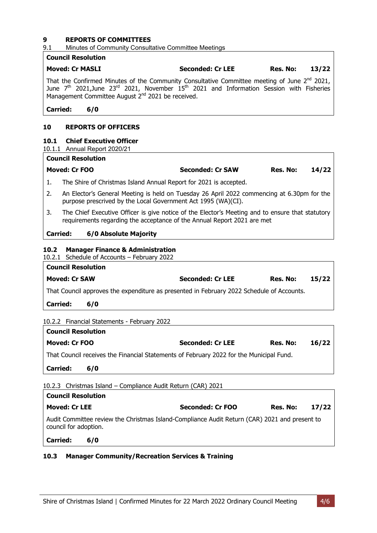### <span id="page-6-0"></span>**9 REPORTS OF COMMITTEES**

### 9.1 Minutes of Community Consultative Committee Meetings

### **Council Resolution Moved: Cr MASLI Seconded: Cr LEE Res. No: 13/22** That the Confirmed Minutes of the Community Consultative Committee meeting of June  $2^{nd}$  2021, June  $7<sup>th</sup>$  2021,June 23<sup>rd</sup> 2021, November 15<sup>th</sup> 2021 and Information Session with Fisheries Management Committee August 2<sup>nd</sup> 2021 be received. **Carried: 6/0 10 REPORTS OF OFFICERS**

### <span id="page-6-1"></span>**10.1 Chief Executive Officer**

10.1.1 Annual Report 2020/21

## **Council Resolution Moved: Cr FOO Seconded: Cr SAW Res. No: 14/22** 1. The Shire of Christmas Island Annual Report for 2021 is accepted.

- 2. An Elector's General Meeting is held on Tuesday 26 April 2022 commencing at 6.30pm for the purpose prescrived by the Local Government Act 1995 (WA)(CI).
- 3. The Chief Executive Officer is give notice of the Elector's Meeting and to ensure that statutory requirements regarding the acceptance of the Annual Report 2021 are met

### **Carried: 6/0 Absolute Majority**

### <span id="page-6-2"></span>**10.2 Manager Finance & Administration**

10.2.1 Schedule of Accounts – February 2022

| <b>Council Resolution</b>                                                                 |     |                         |          |       |  |
|-------------------------------------------------------------------------------------------|-----|-------------------------|----------|-------|--|
| <b>Moved: Cr SAW</b>                                                                      |     | <b>Seconded: Cr LEE</b> | Res. No: | 15/22 |  |
| That Council approves the expenditure as presented in February 2022 Schedule of Accounts. |     |                         |          |       |  |
| <b>Carried:</b>                                                                           | 6/0 |                         |          |       |  |
|                                                                                           |     |                         |          |       |  |

### 10.2.2 Financial Statements - February 2022

| <b>Council Resolution</b> |                                                                                         |                         |          |       |
|---------------------------|-----------------------------------------------------------------------------------------|-------------------------|----------|-------|
| Moved: Cr FOO             |                                                                                         | <b>Seconded: Cr LEE</b> | Res. No: | 16/22 |
|                           | That Council receives the Financial Statements of February 2022 for the Municipal Fund. |                         |          |       |
| <b>Carried:</b>           | 6/0                                                                                     |                         |          |       |

### 10.2.3 Christmas Island – Compliance Audit Return (CAR) 2021

| <b>Council Resolution</b> |     |                                                                                               |          |       |
|---------------------------|-----|-----------------------------------------------------------------------------------------------|----------|-------|
| <b>Moved: Cr LEE</b>      |     | Seconded: Cr FOO                                                                              | Res. No: | 17/22 |
| council for adoption.     |     | Audit Committee review the Christmas Island-Compliance Audit Return (CAR) 2021 and present to |          |       |
| <b>Carried:</b>           | 6/0 |                                                                                               |          |       |

### <span id="page-6-3"></span>**10.3 Manager Community/Recreation Services & Training**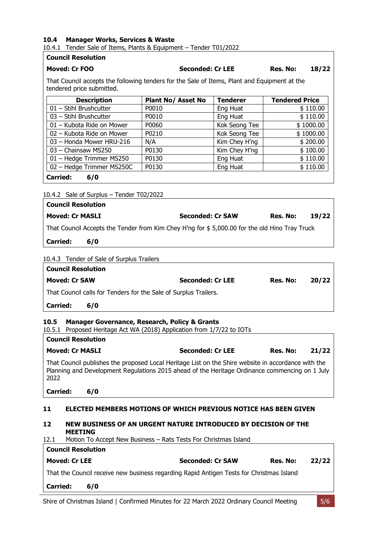### <span id="page-7-0"></span>**10.4 Manager Works, Services & Waste**

10.4.1 Tender Sale of Items, Plants & Equipment – Tender T01/2022

### **Council Resolution**

### **Moved: Cr FOO Seconded: Cr LEE Res. No: 18/22**

That Council accepts the following tenders for the Sale of Items, Plant and Equipment at the tendered price submitted.

| <b>Description</b>        | <b>Plant No/ Asset No</b> | <b>Tenderer</b> | <b>Tendered Price</b> |
|---------------------------|---------------------------|-----------------|-----------------------|
| $01$ – Stihl Brushcutter  | P0010                     | Eng Huat        | \$110.00              |
| 03 - Stihl Brushcutter    | P0010                     | Eng Huat        | \$110.00              |
| 01 - Kubota Ride on Mower | P0060                     | Kok Seong Tee   | \$1000.00             |
| 02 – Kubota Ride on Mower | P0210                     | Kok Seong Tee   | \$1000.00             |
| 03 - Honda Mower HRU-216  | N/A                       | Kim Chey H'ng   | \$200.00              |
| 03 - Chainsaw MS250       | P0130                     | Kim Chey H'ng   | \$100.00              |
| 01 - Hedge Trimmer MS250  | P0130                     | Eng Huat        | \$110.00              |
| 02 - Hedge Trimmer MS250C | P0130                     | Eng Huat        | \$110.00              |
| <b>Carried:</b><br>6/0    |                           |                 |                       |

### 10.4.2 Sale of Surplus – Tender T02/2022

| <b>Council Resolution</b>                                                                     |                         |          |       |  |  |
|-----------------------------------------------------------------------------------------------|-------------------------|----------|-------|--|--|
| <b>Moved: Cr MASLI</b>                                                                        | <b>Seconded: Cr SAW</b> | Res. No: | 19/22 |  |  |
| That Council Accepts the Tender from Kim Chey H'ng for \$5,000.00 for the old Hino Tray Truck |                         |          |       |  |  |
| <b>Carried:</b><br>6/0                                                                        |                         |          |       |  |  |
| 10.4.3 Tender of Sale of Surplus Trailers                                                     |                         |          |       |  |  |
| <b>Council Resolution</b>                                                                     |                         |          |       |  |  |

| <b>Moved: Cr SAW</b>                                             | <b>Seconded: Cr LEE</b> | Res. No: | 20/22 |
|------------------------------------------------------------------|-------------------------|----------|-------|
| That Council calls for Tenders for the Sale of Surplus Trailers. |                         |          |       |

### **Carried: 6/0**

### <span id="page-7-1"></span>**10.5 Manager Governance, Research, Policy & Grants**

10.5.1 Proposed Heritage Act WA (2018) Application from 1/7/22 to IOTs

| <b>Council Resolution</b> |                         |          |       |
|---------------------------|-------------------------|----------|-------|
| <b>Moved: Cr MASLI</b>    | <b>Seconded: Cr LEE</b> | Res. No: | 21/22 |

That Council publishes the proposed Local Heritage List on the Shire website in accordance with the Planning and Development Regulations 2015 ahead of the Heritage Ordinance commencing on 1 July 2022

### **Carried: 6/0**

### <span id="page-7-2"></span>**11 ELECTED MEMBERS MOTIONS OF WHICH PREVIOUS NOTICE HAS BEEN GIVEN**

### <span id="page-7-3"></span>**12 NEW BUSINESS OF AN URGENT NATURE INTRODUCED BY DECISION OF THE MEETING**

12.1 Motion To Accept New Business – Rats Tests For Christmas Island

| <b>Carried:</b>           | 6/0                                                                                      |                         |          |       |
|---------------------------|------------------------------------------------------------------------------------------|-------------------------|----------|-------|
|                           | That the Council receive new business regarding Rapid Antigen Tests for Christmas Island |                         |          |       |
| <b>Moved: Cr LEE</b>      |                                                                                          | <b>Seconded: Cr SAW</b> | Res. No: | 22/22 |
| <b>Council Resolution</b> |                                                                                          |                         |          |       |